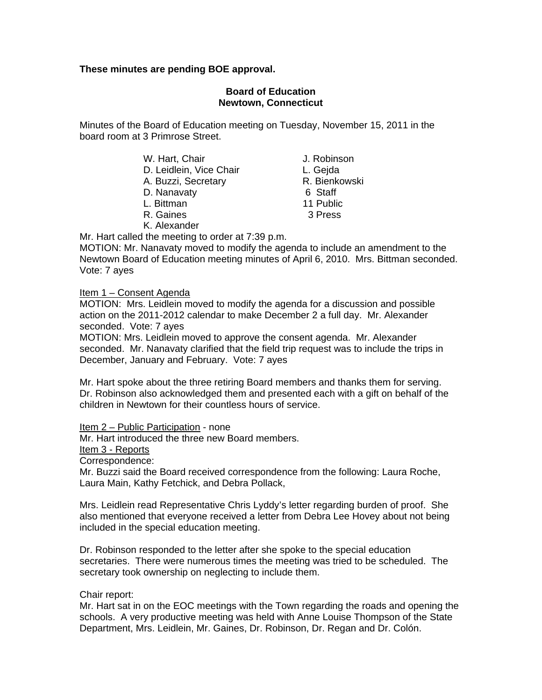# **These minutes are pending BOE approval.**

## **Board of Education Newtown, Connecticut**

Minutes of the Board of Education meeting on Tuesday, November 15, 2011 in the board room at 3 Primrose Street.

W. Hart, Chair **J. Robinson** D. Leidlein, Vice Chair **L. Gejda** A. Buzzi, Secretary **R. Bienkowski** D. Nanavaty 6 Staff L. Bittman 11 Public

- 
- R. Gaines 3 Press

K. Alexander

Mr. Hart called the meeting to order at 7:39 p.m. MOTION: Mr. Nanavaty moved to modify the agenda to include an amendment to the Newtown Board of Education meeting minutes of April 6, 2010. Mrs. Bittman seconded. Vote: 7 ayes

# Item 1 - Consent Agenda

MOTION: Mrs. Leidlein moved to modify the agenda for a discussion and possible action on the 2011-2012 calendar to make December 2 a full day. Mr. Alexander seconded. Vote: 7 ayes

MOTION: Mrs. Leidlein moved to approve the consent agenda. Mr. Alexander seconded. Mr. Nanavaty clarified that the field trip request was to include the trips in December, January and February. Vote: 7 ayes

Mr. Hart spoke about the three retiring Board members and thanks them for serving. Dr. Robinson also acknowledged them and presented each with a gift on behalf of the children in Newtown for their countless hours of service.

## Item 2 – Public Participation - none

Mr. Hart introduced the three new Board members.

Item 3 - Reports

Correspondence:

Mr. Buzzi said the Board received correspondence from the following: Laura Roche, Laura Main, Kathy Fetchick, and Debra Pollack,

Mrs. Leidlein read Representative Chris Lyddy's letter regarding burden of proof. She also mentioned that everyone received a letter from Debra Lee Hovey about not being included in the special education meeting.

Dr. Robinson responded to the letter after she spoke to the special education secretaries. There were numerous times the meeting was tried to be scheduled. The secretary took ownership on neglecting to include them.

## Chair report:

Mr. Hart sat in on the EOC meetings with the Town regarding the roads and opening the schools. A very productive meeting was held with Anne Louise Thompson of the State Department, Mrs. Leidlein, Mr. Gaines, Dr. Robinson, Dr. Regan and Dr. Colón.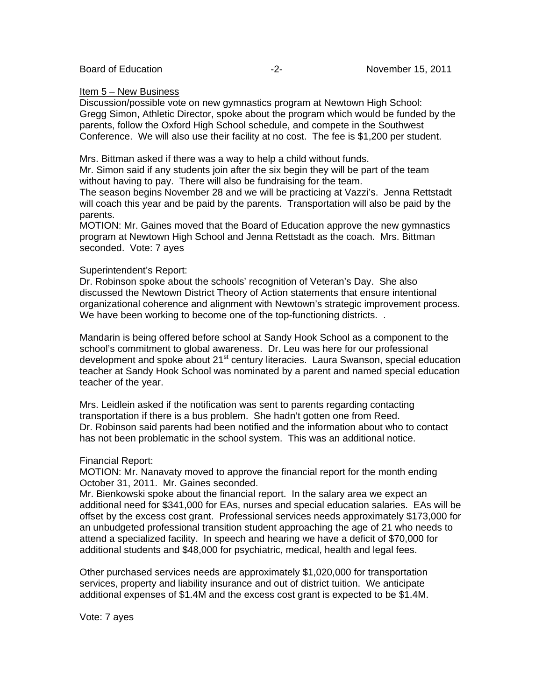#### Item 5 – New Business

Discussion/possible vote on new gymnastics program at Newtown High School: Gregg Simon, Athletic Director, spoke about the program which would be funded by the parents, follow the Oxford High School schedule, and compete in the Southwest Conference. We will also use their facility at no cost. The fee is \$1,200 per student.

Mrs. Bittman asked if there was a way to help a child without funds.

Mr. Simon said if any students join after the six begin they will be part of the team without having to pay. There will also be fundraising for the team.

The season begins November 28 and we will be practicing at Vazzi's. Jenna Rettstadt will coach this year and be paid by the parents. Transportation will also be paid by the parents.

MOTION: Mr. Gaines moved that the Board of Education approve the new gymnastics program at Newtown High School and Jenna Rettstadt as the coach. Mrs. Bittman seconded. Vote: 7 ayes

## Superintendent's Report:

Dr. Robinson spoke about the schools' recognition of Veteran's Day. She also discussed the Newtown District Theory of Action statements that ensure intentional organizational coherence and alignment with Newtown's strategic improvement process. We have been working to become one of the top-functioning districts...

Mandarin is being offered before school at Sandy Hook School as a component to the school's commitment to global awareness. Dr. Leu was here for our professional development and spoke about 21<sup>st</sup> century literacies. Laura Swanson, special education teacher at Sandy Hook School was nominated by a parent and named special education teacher of the year.

Mrs. Leidlein asked if the notification was sent to parents regarding contacting transportation if there is a bus problem. She hadn't gotten one from Reed. Dr. Robinson said parents had been notified and the information about who to contact has not been problematic in the school system. This was an additional notice.

## Financial Report:

MOTION: Mr. Nanavaty moved to approve the financial report for the month ending October 31, 2011. Mr. Gaines seconded.

Mr. Bienkowski spoke about the financial report. In the salary area we expect an additional need for \$341,000 for EAs, nurses and special education salaries. EAs will be offset by the excess cost grant. Professional services needs approximately \$173,000 for an unbudgeted professional transition student approaching the age of 21 who needs to attend a specialized facility. In speech and hearing we have a deficit of \$70,000 for additional students and \$48,000 for psychiatric, medical, health and legal fees.

Other purchased services needs are approximately \$1,020,000 for transportation services, property and liability insurance and out of district tuition. We anticipate additional expenses of \$1.4M and the excess cost grant is expected to be \$1.4M.

Vote: 7 ayes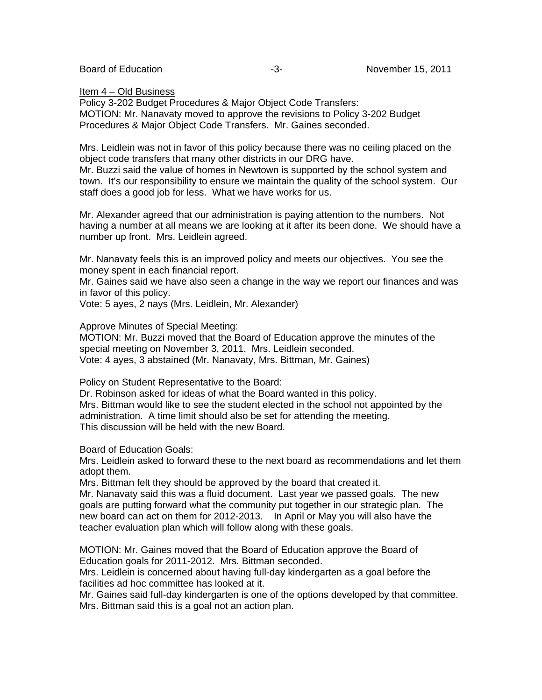#### Item 4 – Old Business

Policy 3-202 Budget Procedures & Major Object Code Transfers: MOTION: Mr. Nanavaty moved to approve the revisions to Policy 3-202 Budget Procedures & Major Object Code Transfers. Mr. Gaines seconded.

Mrs. Leidlein was not in favor of this policy because there was no ceiling placed on the object code transfers that many other districts in our DRG have.

Mr. Buzzi said the value of homes in Newtown is supported by the school system and town. It's our responsibility to ensure we maintain the quality of the school system. Our staff does a good job for less. What we have works for us.

Mr. Alexander agreed that our administration is paying attention to the numbers. Not having a number at all means we are looking at it after its been done. We should have a number up front. Mrs. Leidlein agreed.

Mr. Nanavaty feels this is an improved policy and meets our objectives. You see the money spent in each financial report.

Mr. Gaines said we have also seen a change in the way we report our finances and was in favor of this policy.

Vote: 5 ayes, 2 nays (Mrs. Leidlein, Mr. Alexander)

Approve Minutes of Special Meeting:

MOTION: Mr. Buzzi moved that the Board of Education approve the minutes of the special meeting on November 3, 2011. Mrs. Leidlein seconded. Vote: 4 ayes, 3 abstained (Mr. Nanavaty, Mrs. Bittman, Mr. Gaines)

Policy on Student Representative to the Board:

Dr. Robinson asked for ideas of what the Board wanted in this policy. Mrs. Bittman would like to see the student elected in the school not appointed by the administration. A time limit should also be set for attending the meeting. This discussion will be held with the new Board.

Board of Education Goals:

Mrs. Leidlein asked to forward these to the next board as recommendations and let them adopt them.

Mrs. Bittman felt they should be approved by the board that created it.

Mr. Nanavaty said this was a fluid document. Last year we passed goals. The new goals are putting forward what the community put together in our strategic plan. The new board can act on them for 2012-2013. In April or May you will also have the teacher evaluation plan which will follow along with these goals.

MOTION: Mr. Gaines moved that the Board of Education approve the Board of Education goals for 2011-2012. Mrs. Bittman seconded.

Mrs. Leidlein is concerned about having full-day kindergarten as a goal before the facilities ad hoc committee has looked at it.

Mr. Gaines said full-day kindergarten is one of the options developed by that committee. Mrs. Bittman said this is a goal not an action plan.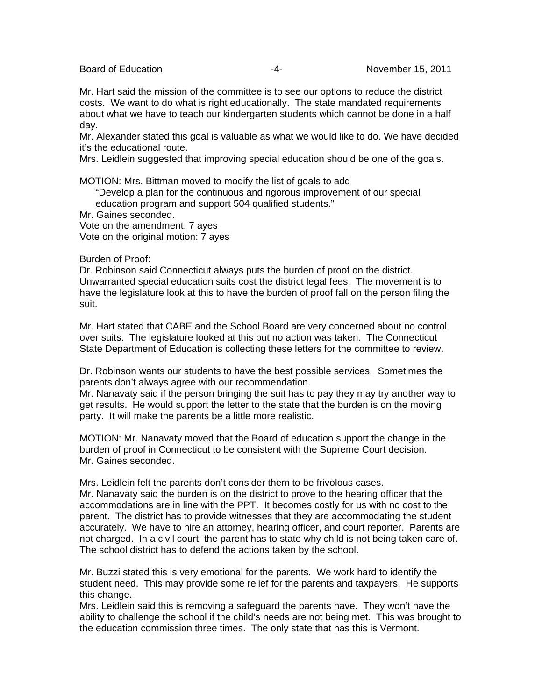Mr. Hart said the mission of the committee is to see our options to reduce the district costs. We want to do what is right educationally. The state mandated requirements about what we have to teach our kindergarten students which cannot be done in a half day.

Mr. Alexander stated this goal is valuable as what we would like to do. We have decided it's the educational route.

Mrs. Leidlein suggested that improving special education should be one of the goals.

MOTION: Mrs. Bittman moved to modify the list of goals to add

"Develop a plan for the continuous and rigorous improvement of our special education program and support 504 qualified students."

Mr. Gaines seconded.

Vote on the amendment: 7 ayes

Vote on the original motion: 7 ayes

Burden of Proof:

Dr. Robinson said Connecticut always puts the burden of proof on the district. Unwarranted special education suits cost the district legal fees. The movement is to have the legislature look at this to have the burden of proof fall on the person filing the suit.

Mr. Hart stated that CABE and the School Board are very concerned about no control over suits. The legislature looked at this but no action was taken. The Connecticut State Department of Education is collecting these letters for the committee to review.

Dr. Robinson wants our students to have the best possible services. Sometimes the parents don't always agree with our recommendation.

Mr. Nanavaty said if the person bringing the suit has to pay they may try another way to get results. He would support the letter to the state that the burden is on the moving party. It will make the parents be a little more realistic.

MOTION: Mr. Nanavaty moved that the Board of education support the change in the burden of proof in Connecticut to be consistent with the Supreme Court decision. Mr. Gaines seconded.

Mrs. Leidlein felt the parents don't consider them to be frivolous cases. Mr. Nanavaty said the burden is on the district to prove to the hearing officer that the accommodations are in line with the PPT. It becomes costly for us with no cost to the parent. The district has to provide witnesses that they are accommodating the student accurately. We have to hire an attorney, hearing officer, and court reporter. Parents are not charged. In a civil court, the parent has to state why child is not being taken care of. The school district has to defend the actions taken by the school.

Mr. Buzzi stated this is very emotional for the parents. We work hard to identify the student need. This may provide some relief for the parents and taxpayers. He supports this change.

Mrs. Leidlein said this is removing a safeguard the parents have. They won't have the ability to challenge the school if the child's needs are not being met. This was brought to the education commission three times. The only state that has this is Vermont.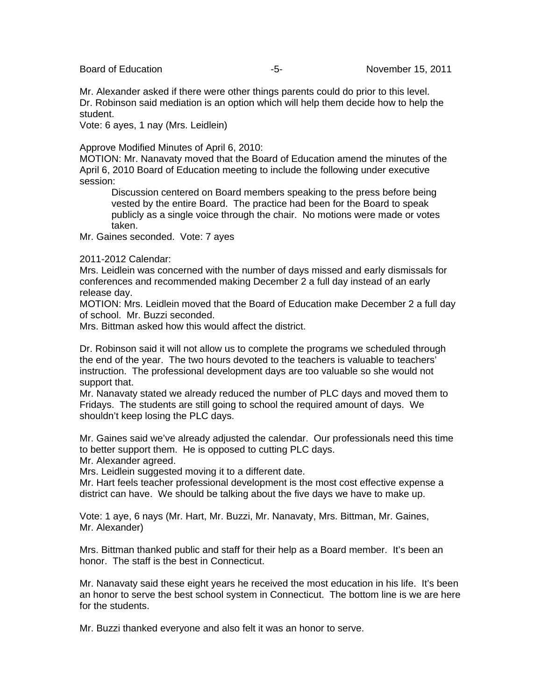Mr. Alexander asked if there were other things parents could do prior to this level. Dr. Robinson said mediation is an option which will help them decide how to help the student.

Vote: 6 ayes, 1 nay (Mrs. Leidlein)

Approve Modified Minutes of April 6, 2010:

MOTION: Mr. Nanavaty moved that the Board of Education amend the minutes of the April 6, 2010 Board of Education meeting to include the following under executive session:

Discussion centered on Board members speaking to the press before being vested by the entire Board. The practice had been for the Board to speak publicly as a single voice through the chair. No motions were made or votes taken.

Mr. Gaines seconded. Vote: 7 ayes

#### 2011-2012 Calendar:

Mrs. Leidlein was concerned with the number of days missed and early dismissals for conferences and recommended making December 2 a full day instead of an early release day.

MOTION: Mrs. Leidlein moved that the Board of Education make December 2 a full day of school. Mr. Buzzi seconded.

Mrs. Bittman asked how this would affect the district.

Dr. Robinson said it will not allow us to complete the programs we scheduled through the end of the year. The two hours devoted to the teachers is valuable to teachers' instruction. The professional development days are too valuable so she would not support that.

Mr. Nanavaty stated we already reduced the number of PLC days and moved them to Fridays. The students are still going to school the required amount of days. We shouldn't keep losing the PLC days.

Mr. Gaines said we've already adjusted the calendar. Our professionals need this time to better support them. He is opposed to cutting PLC days.

Mr. Alexander agreed.

Mrs. Leidlein suggested moving it to a different date.

Mr. Hart feels teacher professional development is the most cost effective expense a district can have. We should be talking about the five days we have to make up.

Vote: 1 aye, 6 nays (Mr. Hart, Mr. Buzzi, Mr. Nanavaty, Mrs. Bittman, Mr. Gaines, Mr. Alexander)

Mrs. Bittman thanked public and staff for their help as a Board member. It's been an honor. The staff is the best in Connecticut.

Mr. Nanavaty said these eight years he received the most education in his life. It's been an honor to serve the best school system in Connecticut. The bottom line is we are here for the students.

Mr. Buzzi thanked everyone and also felt it was an honor to serve.